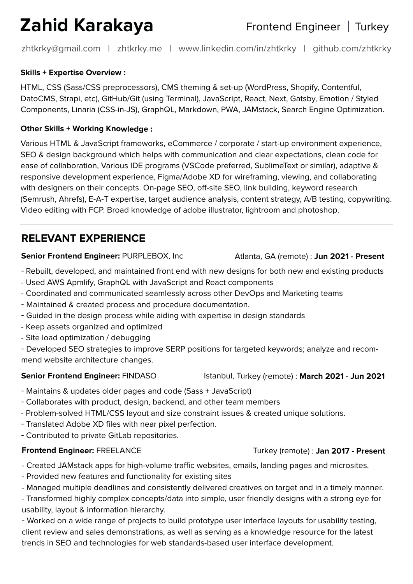# **Zahid Karakaya**

Frontend Engineer | Turkey

zhtkrky@gmail.com | zhtkrky.me | www.linkedin.com/in/zhtkrky | github.com/zhtkrky

### **Skills + Expertise Overview :**

HTML, CSS (Sass/CSS preprocessors), CMS theming & set-up (WordPress, Shopify, Contentful, DatoCMS, Strapi, etc), GitHub/Git (using Terminal), JavaScript, React, Next, Gatsby, Emotion / Styled Components, Linaria (CSS-in-JS), GraphQL, Markdown, PWA, JAMstack, Search Engine Optimization.

### **Other Skills + Working Knowledge :**

Various HTML & JavaScript frameworks, eCommerce / corporate / start-up environment experience, SEO & design background which helps with communication and clear expectations, clean code for ease of collaboration, Various IDE programs (VSCode preferred, SublimeText or similar), adaptive & responsive development experience, Figma/Adobe XD for wireframing, viewing, and collaborating with designers on their concepts. On-page SEO, off-site SEO, link building, keyword research (Semrush, Ahrefs), E-A-T expertise, target audience analysis, content strategy, A/B testing, copywriting. Video editing with FCP. Broad knowledge of adobe illustrator, lightroom and photoshop.

# **RELEVANT EXPERIENCE**

### **Senior Frontend Engineer: PURPLEBOX, Inc Atlanta, GA (remote) : Jun 2021 - Present**

- Rebuilt, developed, and maintained front end with new designs for both new and existing products
- Used AWS Apmlify, GraphQL with JavaScript and React components
- Coordinated and communicated seamlessly across other DevOps and Marketing teams
- Maintained & created process and procedure documentation.
- Guided in the design process while aiding with expertise in design standards
- Keep assets organized and optimized
- Site load optimization / debugging
- Developed SEO strategies to improve SERP positions for targeted keywords; analyze and recommend website architecture changes.

- Maintains & updates older pages and code (Sass + JavaScript)
- Collaborates with product, design, backend, and other team members
- Problem-solved HTML/CSS layout and size constraint issues & created unique solutions.
- Translated Adobe XD files with near pixel perfection.
- Contributed to private GitLab repositories.

### **Frontend Engineer: FREELANCE Turkey (remote) : Jan 2017 - Present**

- Created JAMstack apps for high-volume traffic websites, emails, landing pages and microsites.
- Provided new features and functionality for existing sites
- Managed multiple deadlines and consistently delivered creatives on target and in a timely manner.
- Transformed highly complex concepts/data into simple, user friendly designs with a strong eye for usability, layout & information hierarchy.
- Worked on a wide range of projects to build prototype user interface layouts for usability testing, client review and sales demonstrations, as well as serving as a knowledge resource for the latest trends in SEO and technologies for web standards-based user interface development.

**Senior Frontend Engineer: FINDASO** *istanbul, Turkey (remote)* : March 2021 - Jun 2021